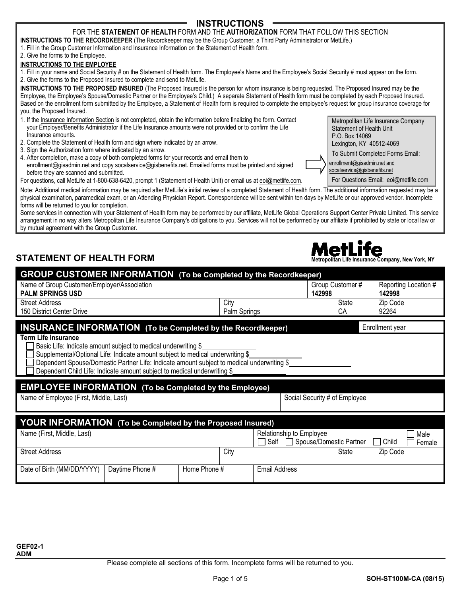## **INSTRUCTIONS**

## FOR THE **STATEMENT OF HEALTH** FORM AND THE **AUTHORIZATION** FORM THAT FOLLOW THIS SECTION

**INSTRUCTIONS TO THE RECORDKEEPER** (The Recordkeeper may be the Group Customer, a Third Party Administrator or MetLife.) 1. Fill in the Group Customer Information and Insurance Information on the Statement of Health form.

### 2. Give the forms to the Employee.

### **INSTRUCTIONS TO THE EMPLOYEE**

1. Fill in your name and Social Security # on the Statement of Health form. The Employee's Name and the Employee's Social Security # must appear on the form. 2. Give the forms to the Proposed Insured to complete and send to MetLife.

**INSTRUCTIONS TO THE PROPOSED INSURED** (The Proposed Insured is the person for whom insurance is being requested. The Proposed Insured may be the Employee, the Employee's Spouse/Domestic Partner or the Employee's Child.) A separate Statement of Health form must be completed by each Proposed Insured. Based on the enrollment form submitted by the Employee, a Statement of Health form is required to complete the employee's request for group insurance coverage for you, the Proposed Insured.

- 1. If the Insurance Information Section is not completed, obtain the information before finalizing the form. Contact your Employer/Benefits Administrator if the Life Insurance amounts were not provided or to confirm the Life Insurance amounts.
- 2. Complete the Statement of Health form and sign where indicated by an arrow.
- 3. Sign the Authorization form where indicated by an arrow.
- 4. After completion, make a copy of both completed forms for your records and email them to enrollment@gisadmin.net and copy socalservice@gisbenefits.net. Emailed forms must be printed and signed before they are scanned and submitted.

For questions, call MetLife at 1-800-638-6420, prompt 1 (Statement of Health Unit) or email us at eoi@metlife.com. Note: Additional medical information may be required after MetLife's initial review of a completed Statement of Health form. The additional information requested may be a physical examination, paramedical exam, or an Attending Physician Report. Correspondence will be sent within ten days by MetLife or our approved vendor. Incomplete forms will be returned to you for completion.

Some services in connection with your Statement of Health form may be performed by our affiliate, MetLife Global Operations Support Center Private Limited. This service arrangement in no way alters Metropolitan Life Insurance Company's obligations to you. Services will not be performed by our affiliate if prohibited by state or local law or by mutual agreement with the Group Customer.

# **STATEMENT OF HEALTH FORM Metropolitan Life Insurance Company, New York, NY**

| <b>GROUP CUSTOMER INFORMATION</b> (To be Completed by the Recordkeeper)                                                                                                                                                                                                                                                                                                                                                        |                                  |                               |                                |
|--------------------------------------------------------------------------------------------------------------------------------------------------------------------------------------------------------------------------------------------------------------------------------------------------------------------------------------------------------------------------------------------------------------------------------|----------------------------------|-------------------------------|--------------------------------|
| Name of Group Customer/Employer/Association<br><b>PALM SPRINGS USD</b>                                                                                                                                                                                                                                                                                                                                                         |                                  | Group Customer#<br>142998     | Reporting Location #<br>142998 |
| <b>Street Address</b><br>150 District Center Drive                                                                                                                                                                                                                                                                                                                                                                             | City<br>Palm Springs             | <b>State</b><br>CA            | Zip Code<br>92264              |
| <b>INSURANCE INFORMATION (To be Completed by the Recordkeeper)</b><br><b>Term Life Insurance</b><br>Basic Life: Indicate amount subject to medical underwriting \$<br>Supplemental/Optional Life: Indicate amount subject to medical underwriting \$<br>Dependent Spouse/Domestic Partner Life: Indicate amount subject to medical underwriting \$<br>Dependent Child Life: Indicate amount subject to medical underwriting \$ |                                  |                               | Enrollment year                |
|                                                                                                                                                                                                                                                                                                                                                                                                                                |                                  |                               |                                |
| <b>EMPLOYEE INFORMATION</b> (To be Completed by the Employee)<br>Name of Employee (First, Middle, Last)                                                                                                                                                                                                                                                                                                                        |                                  | Social Security # of Employee |                                |
| <b>YOUR INFORMATION</b> (To be Completed by the Proposed Insured)                                                                                                                                                                                                                                                                                                                                                              |                                  |                               |                                |
| Name (First, Middle, Last)                                                                                                                                                                                                                                                                                                                                                                                                     | Relationship to Employee<br>Self | Spouse/Domestic Partner       | Male<br>Child<br>Female        |
| <b>Street Address</b>                                                                                                                                                                                                                                                                                                                                                                                                          | City                             | State                         | Zip Code                       |



Lexington, KY 40512-4069 To Submit Completed Forms Email: enrollment@gisadmin.net and

Statement of Health Unit P.O. Box 14069

Metropolitan Life Insurance Company

socalservice@gisbenefits.net

For Questions Email: eoi@metlife.com

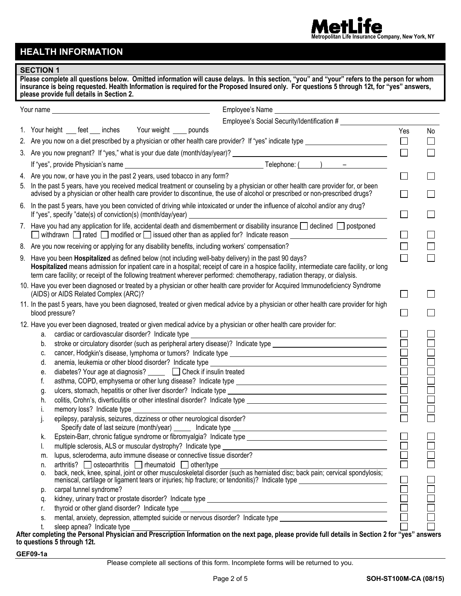#### fe e **Metropolitan Life Insurance Company, New York, NY**

# **HEALTH INFORMATION**

### **SECTION 1**

|           | Please complete all questions below. Omitted information will cause delays. In this section, "you" and "your" refers to the person for whom<br>insurance is being requested. Health Information is required for the Proposed Insured only. For questions 5 through 12t, for "yes" answers,<br>please provide full details in Section 2. |        |        |
|-----------|-----------------------------------------------------------------------------------------------------------------------------------------------------------------------------------------------------------------------------------------------------------------------------------------------------------------------------------------|--------|--------|
| Your name | <u> 1989 - Johann Barn, mars eta bainar eta bainar eta baina eta baina eta baina eta baina eta baina eta baina e</u>                                                                                                                                                                                                                    |        |        |
|           | Employee's Social Security/Identification #                                                                                                                                                                                                                                                                                             |        |        |
|           | 1. Your height ___ feet ___ inches Your weight ____ pounds                                                                                                                                                                                                                                                                              | Yes    | No     |
|           | 2. Are you now on a diet prescribed by a physician or other health care provider? If "yes" indicate type _____________________________                                                                                                                                                                                                  | $\Box$ | $\Box$ |
|           |                                                                                                                                                                                                                                                                                                                                         | $\Box$ | П      |
|           |                                                                                                                                                                                                                                                                                                                                         |        |        |
|           |                                                                                                                                                                                                                                                                                                                                         |        |        |
|           | 4. Are you now, or have you in the past 2 years, used tobacco in any form?                                                                                                                                                                                                                                                              | $\Box$ |        |
|           | 5. In the past 5 years, have you received medical treatment or counseling by a physician or other health care provider for, or been<br>advised by a physician or other health care provider to discontinue, the use of alcohol or prescribed or non-prescribed drugs?                                                                   | $\Box$ |        |
|           | 6. In the past 5 years, have you been convicted of driving while intoxicated or under the influence of alcohol and/or any drug?                                                                                                                                                                                                         | $\Box$ |        |
|           |                                                                                                                                                                                                                                                                                                                                         |        |        |
|           | 7. Have you had any application for life, accidental death and dismemberment or disability insurance $\Box$ declined $\Box$ postponed<br>J withdrawn □ rated □ modified or □ issued other than as applied for? Indicate reason ________________________                                                                                 | $\Box$ |        |
|           | 8. Are you now receiving or applying for any disability benefits, including workers' compensation?                                                                                                                                                                                                                                      | П      |        |
|           | 9. Have you been Hospitalized as defined below (not including well-baby delivery) in the past 90 days?                                                                                                                                                                                                                                  | $\Box$ |        |
|           | Hospitalized means admission for inpatient care in a hospital; receipt of care in a hospice facility, intermediate care facility, or long<br>term care facility; or receipt of the following treatment wherever performed: chemotherapy, radiation therapy, or dialysis.                                                                |        |        |
|           | 10. Have you ever been diagnosed or treated by a physician or other health care provider for Acquired Immunodeficiency Syndrome                                                                                                                                                                                                         |        |        |
|           | (AIDS) or AIDS Related Complex (ARC)?                                                                                                                                                                                                                                                                                                   | $\Box$ |        |
|           | 11. In the past 5 years, have you been diagnosed, treated or given medical advice by a physician or other health care provider for high<br>blood pressure?                                                                                                                                                                              |        |        |
|           | 12. Have you ever been diagnosed, treated or given medical advice by a physician or other health care provider for:                                                                                                                                                                                                                     |        |        |
| a.        |                                                                                                                                                                                                                                                                                                                                         |        |        |
| b.        | stroke or circulatory disorder (such as peripheral artery disease)? Indicate type ____________________________                                                                                                                                                                                                                          |        |        |
| c.        |                                                                                                                                                                                                                                                                                                                                         |        |        |
| d.        |                                                                                                                                                                                                                                                                                                                                         |        |        |
| е.        | diabetes? Your age at diagnosis? ______ □ Check if insulin treated                                                                                                                                                                                                                                                                      |        |        |
| f.        |                                                                                                                                                                                                                                                                                                                                         |        |        |
| g.        |                                                                                                                                                                                                                                                                                                                                         |        |        |
| h.        |                                                                                                                                                                                                                                                                                                                                         |        |        |
|           | memory loss? Indicate type _                                                                                                                                                                                                                                                                                                            |        |        |
|           | epilepsy, paralysis, seizures, dizziness or other neurological disorder?                                                                                                                                                                                                                                                                |        |        |
| k.        |                                                                                                                                                                                                                                                                                                                                         |        |        |
| ı.        |                                                                                                                                                                                                                                                                                                                                         |        |        |
| m.        | lupus, scleroderma, auto immune disease or connective tissue disorder?                                                                                                                                                                                                                                                                  |        |        |
| n.        | arthritis? osteoarthritis returnatoid other/type                                                                                                                                                                                                                                                                                        |        |        |
| 0.        |                                                                                                                                                                                                                                                                                                                                         |        |        |
| p.        | carpal tunnel syndrome?                                                                                                                                                                                                                                                                                                                 |        |        |
| q.        |                                                                                                                                                                                                                                                                                                                                         |        |        |
| r.        |                                                                                                                                                                                                                                                                                                                                         |        |        |
| S.        | kidney, urinary tract or prostate disorder? Indicate type<br>thyroid or other gland disorder? Indicate type<br>mental, anxiety, depression, attempted suicide or nervous disorder? Indicate type                                                                                                                                        |        |        |
|           | sleep apnea? Indicate type<br>∟ and of the resonal Physician and Prescription Information on the next page, please provide full details in Section 2 for "ves" answers.<br>After completing the Personal Physician and Prescription Information on the next                                                                             |        |        |

**After completing the Personal Physician and Prescription Information on the next page, please provide full details in Section 2 for "yes" answers to questions 5 through 12t.** 

**GEF09-1a**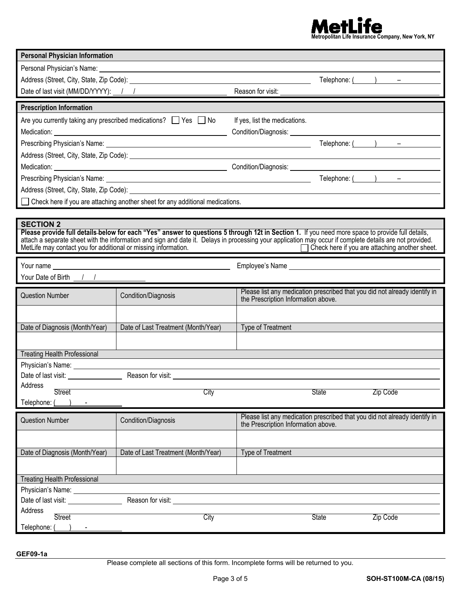

| <b>Personal Physician Information</b>                                              |                                                                                                                                                                                                                                      |                                                                                                                                                                                                                                                                                                                                                                |  |
|------------------------------------------------------------------------------------|--------------------------------------------------------------------------------------------------------------------------------------------------------------------------------------------------------------------------------------|----------------------------------------------------------------------------------------------------------------------------------------------------------------------------------------------------------------------------------------------------------------------------------------------------------------------------------------------------------------|--|
|                                                                                    | Personal Physician's Name: Note and the second contract of the second contract of the second contract of the second contract of the second contract of the second contract of the second contract of the second contract of th       |                                                                                                                                                                                                                                                                                                                                                                |  |
|                                                                                    |                                                                                                                                                                                                                                      | Telephone: $($ $)$ $-$                                                                                                                                                                                                                                                                                                                                         |  |
| Date of last visit (MM/DD/YYYY): 1 1                                               |                                                                                                                                                                                                                                      | Reason for visit:                                                                                                                                                                                                                                                                                                                                              |  |
| <b>Prescription Information</b>                                                    |                                                                                                                                                                                                                                      |                                                                                                                                                                                                                                                                                                                                                                |  |
|                                                                                    | Are you currently taking any prescribed medications? $\Box$ Yes $\Box$ No                                                                                                                                                            | If yes, list the medications.                                                                                                                                                                                                                                                                                                                                  |  |
|                                                                                    |                                                                                                                                                                                                                                      |                                                                                                                                                                                                                                                                                                                                                                |  |
|                                                                                    |                                                                                                                                                                                                                                      | Telephone: ( ) –                                                                                                                                                                                                                                                                                                                                               |  |
|                                                                                    |                                                                                                                                                                                                                                      |                                                                                                                                                                                                                                                                                                                                                                |  |
|                                                                                    |                                                                                                                                                                                                                                      |                                                                                                                                                                                                                                                                                                                                                                |  |
|                                                                                    |                                                                                                                                                                                                                                      | Telephone: $($ $)$ $-$                                                                                                                                                                                                                                                                                                                                         |  |
|                                                                                    | Address (Street, City, State, Zip Code): <u>the contract of the contract of the contract of the contract of the contract of the contract of the contract of the contract of the contract of the contract of the contract of the </u> |                                                                                                                                                                                                                                                                                                                                                                |  |
|                                                                                    | Check here if you are attaching another sheet for any additional medications.                                                                                                                                                        |                                                                                                                                                                                                                                                                                                                                                                |  |
|                                                                                    |                                                                                                                                                                                                                                      |                                                                                                                                                                                                                                                                                                                                                                |  |
| <b>SECTION 2</b><br>MetLife may contact you for additional or missing information. |                                                                                                                                                                                                                                      | Please provide full details-below for each "Yes" answer to questions 5 through 12t in Section 1. If you need more space to provide full details,<br>attach a separate sheet with the information and sign and date it. Delays in processing your application may occur if complete details are not provided.<br>Check here if you are attaching another sheet. |  |
|                                                                                    |                                                                                                                                                                                                                                      | Employee's Name experience and the state of the state of the state of the state of the state of the state of the state of the state of the state of the state of the state of the state of the state of the state of the state                                                                                                                                 |  |
| Your Date of Birth $1/$                                                            |                                                                                                                                                                                                                                      |                                                                                                                                                                                                                                                                                                                                                                |  |
|                                                                                    |                                                                                                                                                                                                                                      | Please list any medication prescribed that you did not already identify in                                                                                                                                                                                                                                                                                     |  |
| <b>Question Number</b>                                                             | Condition/Diagnosis                                                                                                                                                                                                                  | the Prescription Information above.                                                                                                                                                                                                                                                                                                                            |  |
|                                                                                    |                                                                                                                                                                                                                                      |                                                                                                                                                                                                                                                                                                                                                                |  |
| Date of Diagnosis (Month/Year)                                                     | Date of Last Treatment (Month/Year)                                                                                                                                                                                                  | <b>Type of Treatment</b>                                                                                                                                                                                                                                                                                                                                       |  |
|                                                                                    |                                                                                                                                                                                                                                      |                                                                                                                                                                                                                                                                                                                                                                |  |
|                                                                                    |                                                                                                                                                                                                                                      |                                                                                                                                                                                                                                                                                                                                                                |  |
| <b>Treating Health Professional</b>                                                |                                                                                                                                                                                                                                      |                                                                                                                                                                                                                                                                                                                                                                |  |
|                                                                                    |                                                                                                                                                                                                                                      |                                                                                                                                                                                                                                                                                                                                                                |  |
| Address                                                                            |                                                                                                                                                                                                                                      |                                                                                                                                                                                                                                                                                                                                                                |  |
| <b>Street</b>                                                                      | City                                                                                                                                                                                                                                 | <b>State</b><br>Zip Code                                                                                                                                                                                                                                                                                                                                       |  |
| Telephone:                                                                         |                                                                                                                                                                                                                                      |                                                                                                                                                                                                                                                                                                                                                                |  |
| <b>Question Number</b>                                                             | Condition/Diagnosis                                                                                                                                                                                                                  | Please list any medication prescribed that you did not already identify in<br>the Prescription Information above.                                                                                                                                                                                                                                              |  |
|                                                                                    |                                                                                                                                                                                                                                      |                                                                                                                                                                                                                                                                                                                                                                |  |
| Date of Diagnosis (Month/Year)                                                     | Date of Last Treatment (Month/Year)                                                                                                                                                                                                  | Type of Treatment                                                                                                                                                                                                                                                                                                                                              |  |
|                                                                                    |                                                                                                                                                                                                                                      |                                                                                                                                                                                                                                                                                                                                                                |  |
| <b>Treating Health Professional</b>                                                |                                                                                                                                                                                                                                      |                                                                                                                                                                                                                                                                                                                                                                |  |
| Physician's Name: ____                                                             |                                                                                                                                                                                                                                      |                                                                                                                                                                                                                                                                                                                                                                |  |
| Date of last visit: ______________                                                 | Reason for visit: Note that the state of the state of the state of the state of the state of the state of the state of the state of the state of the state of the state of the state of the state of the state of the state of       |                                                                                                                                                                                                                                                                                                                                                                |  |
| Address                                                                            |                                                                                                                                                                                                                                      |                                                                                                                                                                                                                                                                                                                                                                |  |
| <b>Street</b>                                                                      | City                                                                                                                                                                                                                                 | <b>State</b><br>Zip Code                                                                                                                                                                                                                                                                                                                                       |  |
| Telephone: (                                                                       |                                                                                                                                                                                                                                      |                                                                                                                                                                                                                                                                                                                                                                |  |

Please complete all sections of this form. Incomplete forms will be returned to you.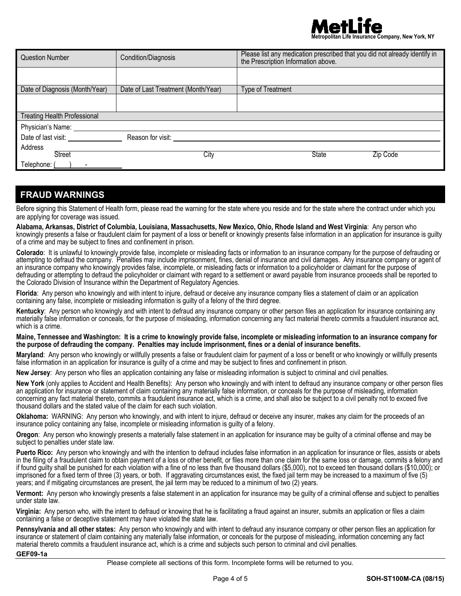

| <b>Question Number</b>              | Condition/Diagnosis                 | Please list any medication prescribed that you did not already identify in<br>the Prescription Information above. |
|-------------------------------------|-------------------------------------|-------------------------------------------------------------------------------------------------------------------|
|                                     |                                     |                                                                                                                   |
| Date of Diagnosis (Month/Year)      | Date of Last Treatment (Month/Year) | <b>Type of Treatment</b>                                                                                          |
|                                     |                                     |                                                                                                                   |
| <b>Treating Health Professional</b> |                                     |                                                                                                                   |
| Physician's Name:                   |                                     |                                                                                                                   |
| Date of last visit:                 | Reason for visit:                   |                                                                                                                   |
| Address                             |                                     |                                                                                                                   |
| <b>Street</b>                       | City                                | State<br>Zip Code                                                                                                 |
| Telephone:                          |                                     |                                                                                                                   |

## **FRAUD WARNINGS**

Before signing this Statement of Health form, please read the warning for the state where you reside and for the state where the contract under which you are applying for coverage was issued.

**Alabama, Arkansas, District of Columbia, Louisiana, Massachusetts, New Mexico, Ohio, Rhode Island and West Virginia**: Any person who knowingly presents a false or fraudulent claim for payment of a loss or benefit or knowingly presents false information in an application for insurance is guilty of a crime and may be subject to fines and confinement in prison.

**Colorado**: It is unlawful to knowingly provide false, incomplete or misleading facts or information to an insurance company for the purpose of defrauding or attempting to defraud the company. Penalties may include imprisonment, fines, denial of insurance and civil damages. Any insurance company or agent of an insurance company who knowingly provides false, incomplete, or misleading facts or information to a policyholder or claimant for the purpose of defrauding or attempting to defraud the policyholder or claimant with regard to a settlement or award payable from insurance proceeds shall be reported to the Colorado Division of Insurance within the Department of Regulatory Agencies.

**Florida**: Any person who knowingly and with intent to injure, defraud or deceive any insurance company files a statement of claim or an application containing any false, incomplete or misleading information is guilty of a felony of the third degree.

**Kentucky**: Any person who knowingly and with intent to defraud any insurance company or other person files an application for insurance containing any materially false information or conceals, for the purpose of misleading, information concerning any fact material thereto commits a fraudulent insurance act, which is a crime.

### **Maine, Tennessee and Washington: It is a crime to knowingly provide false, incomplete or misleading information to an insurance company for the purpose of defrauding the company. Penalties may include imprisonment, fines or a denial of insurance benefits.**

**Maryland**: Any person who knowingly or willfully presents a false or fraudulent claim for payment of a loss or benefit or who knowingly or willfully presents false information in an application for insurance is guilty of a crime and may be subject to fines and confinement in prison.

**New Jersey**: Any person who files an application containing any false or misleading information is subject to criminal and civil penalties.

**New York** (only applies to Accident and Health Benefits): Any person who knowingly and with intent to defraud any insurance company or other person files an application for insurance or statement of claim containing any materially false information, or conceals for the purpose of misleading, information concerning any fact material thereto, commits a fraudulent insurance act, which is a crime, and shall also be subject to a civil penalty not to exceed five thousand dollars and the stated value of the claim for each such violation.

**Oklahoma:** WARNING: Any person who knowingly, and with intent to injure, defraud or deceive any insurer, makes any claim for the proceeds of an insurance policy containing any false, incomplete or misleading information is guilty of a felony.

**Oregon**: Any person who knowingly presents a materially false statement in an application for insurance may be guilty of a criminal offense and may be subject to penalties under state law.

**Puerto Rico:** Any person who knowingly and with the intention to defraud includes false information in an application for insurance or files, assists or abets in the filing of a fraudulent claim to obtain payment of a loss or other benefit, or files more than one claim for the same loss or damage, commits a felony and if found guilty shall be punished for each violation with a fine of no less than five thousand dollars (\$5,000), not to exceed ten thousand dollars (\$10,000); or imprisoned for a fixed term of three (3) years, or both. If aggravating circumstances exist, the fixed jail term may be increased to a maximum of five (5) years; and if mitigating circumstances are present, the jail term may be reduced to a minimum of two (2) years.

**Vermont:** Any person who knowingly presents a false statement in an application for insurance may be guilty of a criminal offense and subject to penalties under state law.

**Virginia:** Any person who, with the intent to defraud or knowing that he is facilitating a fraud against an insurer, submits an application or files a claim containing a false or deceptive statement may have violated the state law.

**Pennsylvania and all other states:** Any person who knowingly and with intent to defraud any insurance company or other person files an application for insurance or statement of claim containing any materially false information, or conceals for the purpose of misleading, information concerning any fact material thereto commits a fraudulent insurance act, which is a crime and subjects such person to criminal and civil penalties.

**GEF09-1a**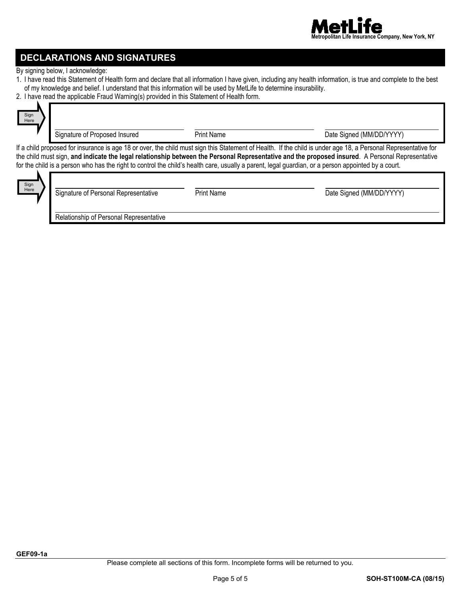

## **DECLARATIONS AND SIGNATURES**

By signing below, I acknowledge:

- 1. I have read this Statement of Health form and declare that all information I have given, including any health information, is true and complete to the best of my knowledge and belief. I understand that this information will be used by MetLife to determine insurability.
- 2. I have read the applicable Fraud Warning(s) provided in this Statement of Health form.

| Sign<br>Here                                                                                                                                                                                                                                                                                                                                                                                                                                                              | Signature of Proposed Insured | <b>Print Name</b> | Date Signed (MM/DD/YYYY) |
|---------------------------------------------------------------------------------------------------------------------------------------------------------------------------------------------------------------------------------------------------------------------------------------------------------------------------------------------------------------------------------------------------------------------------------------------------------------------------|-------------------------------|-------------------|--------------------------|
| If a child proposed for insurance is age 18 or over, the child must sign this Statement of Health. If the child is under age 18, a Personal Representative for<br>the child must sign, and indicate the legal relationship between the Personal Representative and the proposed insured. A Personal Representative<br>for the child is a person who has the right to control the child's health care, usually a parent, legal guardian, or a person appointed by a court. |                               |                   |                          |

| Sign<br>Here |  |
|--------------|--|
|              |  |

| Signature of Personal Representative    | <b>Print Name</b> | Date Signed (MM/DD/YYYY) |
|-----------------------------------------|-------------------|--------------------------|
| Relationship of Personal Representative |                   |                          |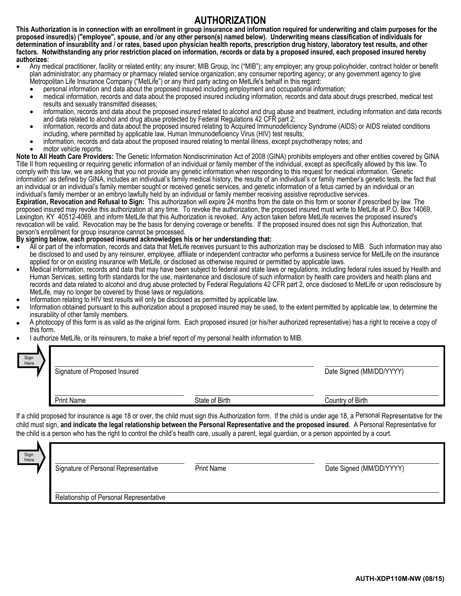## **AUTHORIZATION**

**This Authorization is in connection with an enrollment in group insurance and information required for underwriting and claim purposes for the proposed insured(s) ("employee", spouse, and /or any other person(s) named below). Underwriting means classification of individuals for determination of insurability and / or rates, based upon physician health reports, prescription drug history, laboratory test results, and other factors. Notwithstanding any prior restriction placed on information, records or data by a proposed insured, each proposed insured hereby** 

- Any medical practitioner, facility or related entity; any insurer; MIB Group, Inc ("MIB"); any employer; any group policyholder, contract holder or benefit plan administrator; any pharmacy or pharmacy related service organization; any consumer reporting agency; or any government agency to give
	-
	- Metropolitan Life Insurance Company ("MetLife") or any third party acting on MetLife's behalf in this regard:<br>● personal information and data about the proposed insured including employment and occupational information;<br>● results and sexually transmitted diseases;
	- information, records and data about the proposed insured related to alcohol and drug abuse and treatment, including information and data records and data records and data records and data records
	- information, records and data about the proposed insured relating to Acquired Immunodeficiency Syndrome (AIDS) or AIDS related conditions<br>including, where permitted by applicable law, Human Immunodeficiency Virus (HIV) tes
	- information, records and data about the proposed insured relating to mental illness, except psychotherapy notes; and<br>motor vehicle reports.
- 

**Note to All Heath Care Providers:** The Genetic Information Nondiscrimination Act of 2008 (GINA) prohibits employers and other entities covered by GINA Title II from requesting or requiring genetic information of an individual or family member of the individual, except as specifically allowed by this law. To comply with this law, we are asking that you not provide any genetic information when responding to this request for medical information. 'Genetic information' as defined by GINA, includes an individual's family medical history, the results of an individual's or family member's genetic tests, the fact that an individual or an individual's family member sought or received genetic services, and genetic information of a fetus carried by an individual or an individual's family member or an embryo lawfully held by an individual or family member receiving assistive reproductive services.

**Expiration, Revocation and Refusal to Sign:** This authorization will expire 24 months from the date on this form or sooner if prescribed by law. The proposed insured may revoke this authorization at any time. To revoke the authorization, the proposed insured must write to MetLife at P.O. Box 14069, Lexington, KY 40512-4069, and inform MetLife that this Authorization is revoked. Any action taken before MetLife receives the proposed insured's revocation will be valid. Revocation may be the basis for denying coverage or benefits. If the proposed insured does not sign this Authorization, that person's enrollment for group insurance cannot be processed.

### **By signing below, each proposed insured acknowledges his or her understanding that:**

- All or part of the information, records and data that MetLife receives pursuant to this authorization may be disclosed to MIB. Such information may also be disclosed to and used by any reinsurer, employee, affiliate or independent contractor who performs a business service for MetLife on the insurance applied for or on existing insurance with MetLife, or disclosed as otherwise required or permitted by applicable laws.
- Medical information, records and data that may have been subject to federal and state laws or regulations, including federal rules issued by Health and Human Services, setting forth standards for the use, maintenance and disclosure of such information by health care providers and health plans and records and data related to alcohol and drug abuse protected by Federal Regulations 42 CFR part 2, once disclosed to MetLife or upon redisclosure by MetLife, may no longer be covered by those laws or regulations.
- 
- Information relating to HIV test results will only be disclosed as permitted by applicable law.<br>Information obtained pursuant to this authorization about a proposed insured may be used, to the extent permitted by applicabl insurability of other family members.
- A photocopy of this form is as valid as the original form. Each proposed insured (or his/her authorized representative) has a right to receive a copy of this form.
- I authorize MetLife, or its reinsurers, to make a brief report of my personal health information to MIB.

| Sign<br>Here | Signature of Proposed Insured |                | Date Signed (MM/DD/YYYY) |
|--------------|-------------------------------|----------------|--------------------------|
|              | <b>Print Name</b>             | State of Birth | Country of Birth         |

If a child proposed for insurance is age 18 or over, the child must sign this Authorization form. If the child is under age 18, a Personal Representative for the child must sign, **and indicate the legal relationship between the Personal Representative and the proposed insured**. A Personal Representative for the child is a person who has the right to control the child's health care, usually a parent, legal guardian, or a person appointed by a court.

| Sign<br>Here | Signature of Personal Representative    | <b>Print Name</b> | Date Signed (MM/DD/YYYY) |
|--------------|-----------------------------------------|-------------------|--------------------------|
|              | Relationship of Personal Representative |                   |                          |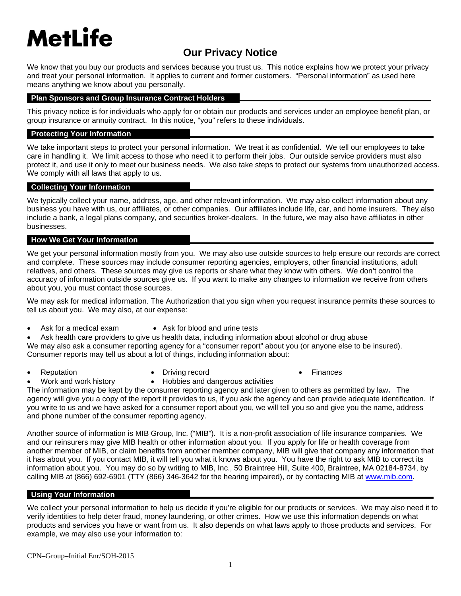# **MetLife**

# **Our Privacy Notice**

We know that you buy our products and services because you trust us. This notice explains how we protect your privacy and treat your personal information. It applies to current and former customers. "Personal information" as used here means anything we know about you personally.

### **Plan Sponsors and Group Insurance Contract Holders**

This privacy notice is for individuals who apply for or obtain our products and services under an employee benefit plan, or group insurance or annuity contract. In this notice, "you" refers to these individuals.

### **Protecting Your Information**

We take important steps to protect your personal information. We treat it as confidential. We tell our employees to take care in handling it. We limit access to those who need it to perform their jobs. Our outside service providers must also protect it, and use it only to meet our business needs. We also take steps to protect our systems from unauthorized access. We comply with all laws that apply to us.

### **Collecting Your Information**

We typically collect your name, address, age, and other relevant information. We may also collect information about any business you have with us, our affiliates, or other companies. Our affiliates include life, car, and home insurers. They also include a bank, a legal plans company, and securities broker-dealers. In the future, we may also have affiliates in other businesses.

### **How We Get Your Information**

We get your personal information mostly from you. We may also use outside sources to help ensure our records are correct and complete. These sources may include consumer reporting agencies, employers, other financial institutions, adult relatives, and others. These sources may give us reports or share what they know with others. We don't control the accuracy of information outside sources give us. If you want to make any changes to information we receive from others about you, you must contact those sources.

We may ask for medical information. The Authorization that you sign when you request insurance permits these sources to tell us about you. We may also, at our expense:

- 
- Ask for a medical exam Ask for blood and urine tests
- Ask health care providers to give us health data, including information about alcohol or drug abuse We may also ask a consumer reporting agency for a "consumer report" about you (or anyone else to be insured). Consumer reports may tell us about a lot of things, including information about:
- - Reputation **Contains Container Container Container** Priving record of the extension of the Finances
		-
- - Work and work history **•** Hobbies and dangerous activities
- The information may be kept by the consumer reporting agency and later given to others as permitted by law**.** The agency will give you a copy of the report it provides to us, if you ask the agency and can provide adequate identification. If you write to us and we have asked for a consumer report about you, we will tell you so and give you the name, address and phone number of the consumer reporting agency.

Another source of information is MIB Group, Inc. ("MIB"). It is a non-profit association of life insurance companies. We and our reinsurers may give MIB health or other information about you. If you apply for life or health coverage from another member of MIB, or claim benefits from another member company, MIB will give that company any information that it has about you. If you contact MIB, it will tell you what it knows about you. You have the right to ask MIB to correct its information about you. You may do so by writing to MIB, Inc., 50 Braintree Hill, Suite 400, Braintree, MA 02184-8734, by calling MIB at (866) 692-6901 (TTY (866) 346-3642 for the hearing impaired), or by contacting MIB at www.mib.com.

### **Using Your Information**

We collect your personal information to help us decide if you're eligible for our products or services. We may also need it to verify identities to help deter fraud, money laundering, or other crimes. How we use this information depends on what products and services you have or want from us. It also depends on what laws apply to those products and services. For example, we may also use your information to: